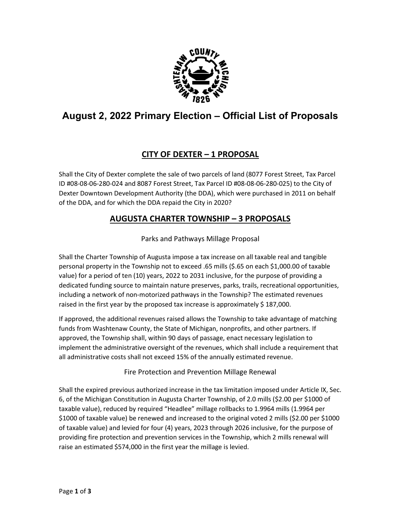

# August 2, 2022 Primary Election – Official List of Proposals

# CITY OF DEXTER – 1 PROPOSAL

Shall the City of Dexter complete the sale of two parcels of land (8077 Forest Street, Tax Parcel ID #08-08-06-280-024 and 8087 Forest Street, Tax Parcel ID #08-08-06-280-025) to the City of Dexter Downtown Development Authority (the DDA), which were purchased in 2011 on behalf of the DDA, and for which the DDA repaid the City in 2020?

## AUGUSTA CHARTER TOWNSHIP – 3 PROPOSALS

Parks and Pathways Millage Proposal

Shall the Charter Township of Augusta impose a tax increase on all taxable real and tangible personal property in the Township not to exceed .65 mills (\$.65 on each \$1,000.00 of taxable value) for a period of ten (10) years, 2022 to 2031 inclusive, for the purpose of providing a dedicated funding source to maintain nature preserves, parks, trails, recreational opportunities, including a network of non-motorized pathways in the Township? The estimated revenues raised in the first year by the proposed tax increase is approximately \$187,000.

If approved, the additional revenues raised allows the Township to take advantage of matching funds from Washtenaw County, the State of Michigan, nonprofits, and other partners. If approved, the Township shall, within 90 days of passage, enact necessary legislation to implement the administrative oversight of the revenues, which shall include a requirement that all administrative costs shall not exceed 15% of the annually estimated revenue.

### Fire Protection and Prevention Millage Renewal

Shall the expired previous authorized increase in the tax limitation imposed under Article IX, Sec. 6, of the Michigan Constitution in Augusta Charter Township, of 2.0 mills (\$2.00 per \$1000 of taxable value), reduced by required "Headlee" millage rollbacks to 1.9964 mills (1.9964 per \$1000 of taxable value) be renewed and increased to the original voted 2 mills (\$2.00 per \$1000 of taxable value) and levied for four (4) years, 2023 through 2026 inclusive, for the purpose of providing fire protection and prevention services in the Township, which 2 mills renewal will raise an estimated \$574,000 in the first year the millage is levied.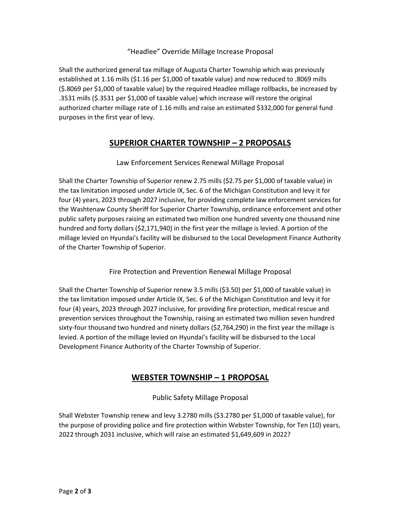#### "Headlee" Override Millage Increase Proposal

Shall the authorized general tax millage of Augusta Charter Township which was previously established at 1.16 mills (\$1.16 per \$1,000 of taxable value) and now reduced to .8069 mills (\$.8069 per \$1,000 of taxable value) by the required Headlee millage rollbacks, be increased by .3531 mills (\$.3531 per \$1,000 of taxable value) which increase will restore the original authorized charter millage rate of 1.16 mills and raise an estimated \$332,000 for general fund purposes in the first year of levy.

### SUPERIOR CHARTER TOWNSHIP – 2 PROPOSALS

Law Enforcement Services Renewal Millage Proposal

Shall the Charter Township of Superior renew 2.75 mills (\$2.75 per \$1,000 of taxable value) in the tax limitation imposed under Article IX, Sec. 6 of the Michigan Constitution and levy it for four (4) years, 2023 through 2027 inclusive, for providing complete law enforcement services for the Washtenaw County Sheriff for Superior Charter Township, ordinance enforcement and other public safety purposes raising an estimated two million one hundred seventy one thousand nine hundred and forty dollars (\$2,171,940) in the first year the millage is levied. A portion of the millage levied on Hyundai's facility will be disbursed to the Local Development Finance Authority of the Charter Township of Superior.

### Fire Protection and Prevention Renewal Millage Proposal

Shall the Charter Township of Superior renew 3.5 mills (\$3.50) per \$1,000 of taxable value) in the tax limitation imposed under Article IX, Sec. 6 of the Michigan Constitution and levy it for four (4) years, 2023 through 2027 inclusive, for providing fire protection, medical rescue and prevention services throughout the Township, raising an estimated two million seven hundred sixty-four thousand two hundred and ninety dollars (\$2,764,290) in the first year the millage is levied. A portion of the millage levied on Hyundai's facility will be disbursed to the Local Development Finance Authority of the Charter Township of Superior.

### WEBSTER TOWNSHIP – 1 PROPOSAL

Public Safety Millage Proposal

Shall Webster Township renew and levy 3.2780 mills (\$3.2780 per \$1,000 of taxable value), for the purpose of providing police and fire protection within Webster Township, for Ten (10) years, 2022 through 2031 inclusive, which will raise an estimated \$1,649,609 in 2022?